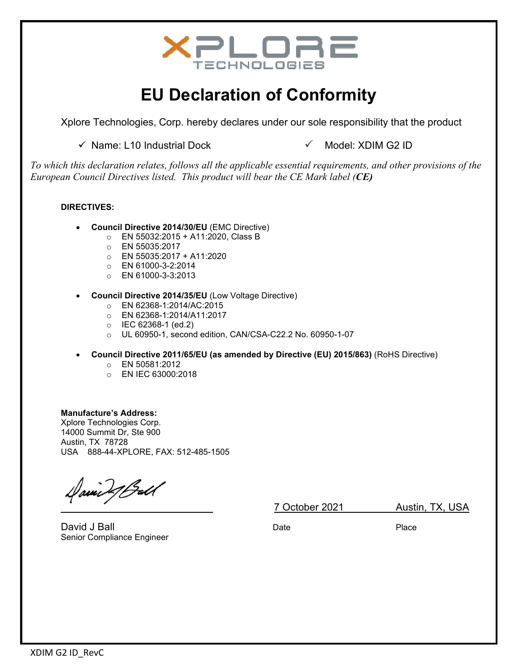

# **EU Declaration of Conformity**

Xplore Technologies, Corp. hereby declares under our sole responsibility that the product

 $\checkmark$  Name: L10 Industrial Dock  $\checkmark$  Model: XDIM G2 ID

*To which this declaration relates, follows all the applicable essential requirements, and other provisions of the European Council Directives listed. This product will bear the CE Mark label (CE)*

#### **DIRECTIVES:**

- **Council Directive 2014/30/EU** (EMC Directive)
	- o EN 55032:2015 + A11:2020, Class B
	- o EN 55035:2017
	- $O$  EN 55035:2017 + A11:2020
	- o EN 61000-3-2:2014
	- o EN 61000-3-3:2013
- **Council Directive 2014/35/EU** (Low Voltage Directive)
	- o EN 62368-1:2014/AC:2015
	- o EN 62368-1:2014/A11:2017
	- o IEC 62368-1 (ed.2)
	- o UL 60950-1, second edition, CAN/CSA-C22.2 No. 60950-1-07
- **Council Directive 2011/65/EU (as amended by Directive (EU) 2015/863)** (RoHS Directive)
	- o EN 50581:2012
	- o EN IEC 63000:2018

**Manufacture's Address:**  Xplore Technologies Corp. 14000 Summit Dr, Ste 900 Austin, TX 78728 USA 888-44-XPLORE, FAX: 512-485-1505

 $\sqrt{|\mathbf{x}||/|\mathbf{x}|}}$  7 October 2021 Austin, TX, USA

David J Ball Date Place Senior Compliance Engineer